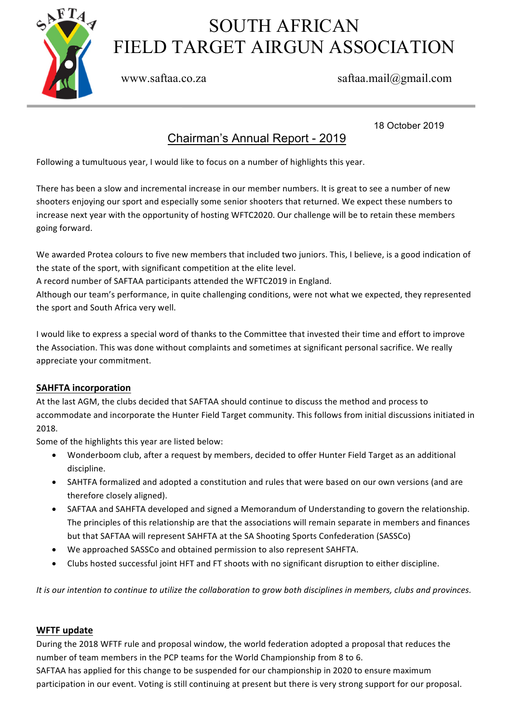

# SOUTH AFRICAN FIELD TARGET AIRGUN ASSOCIATION

### www.saftaa.co.za saftaa.mail@gmail.com

18 October 2019

## Chairman's Annual Report - 2019

Following a tumultuous year, I would like to focus on a number of highlights this year.

There has been a slow and incremental increase in our member numbers. It is great to see a number of new shooters enjoying our sport and especially some senior shooters that returned. We expect these numbers to increase next year with the opportunity of hosting WFTC2020. Our challenge will be to retain these members going forward.

We awarded Protea colours to five new members that included two juniors. This, I believe, is a good indication of the state of the sport, with significant competition at the elite level.

A record number of SAFTAA participants attended the WFTC2019 in England.

Although our team's performance, in quite challenging conditions, were not what we expected, they represented the sport and South Africa very well.

I would like to express a special word of thanks to the Committee that invested their time and effort to improve the Association. This was done without complaints and sometimes at significant personal sacrifice. We really appreciate your commitment.

#### **SAHFTA incorporation**

At the last AGM, the clubs decided that SAFTAA should continue to discuss the method and process to accommodate and incorporate the Hunter Field Target community. This follows from initial discussions initiated in 2018.

Some of the highlights this year are listed below:

- Wonderboom club, after a request by members, decided to offer Hunter Field Target as an additional discipline.
- SAHTFA formalized and adopted a constitution and rules that were based on our own versions (and are therefore closely aligned).
- SAFTAA and SAHFTA developed and signed a Memorandum of Understanding to govern the relationship. The principles of this relationship are that the associations will remain separate in members and finances but that SAFTAA will represent SAHFTA at the SA Shooting Sports Confederation (SASSCo)
- We approached SASSCo and obtained permission to also represent SAHFTA.
- Clubs hosted successful joint HFT and FT shoots with no significant disruption to either discipline.

*It* is our intention to continue to utilize the collaboration to grow both disciplines in members, clubs and provinces.

#### **WFTF** update

During the 2018 WFTF rule and proposal window, the world federation adopted a proposal that reduces the number of team members in the PCP teams for the World Championship from 8 to 6. SAFTAA has applied for this change to be suspended for our championship in 2020 to ensure maximum participation in our event. Voting is still continuing at present but there is very strong support for our proposal.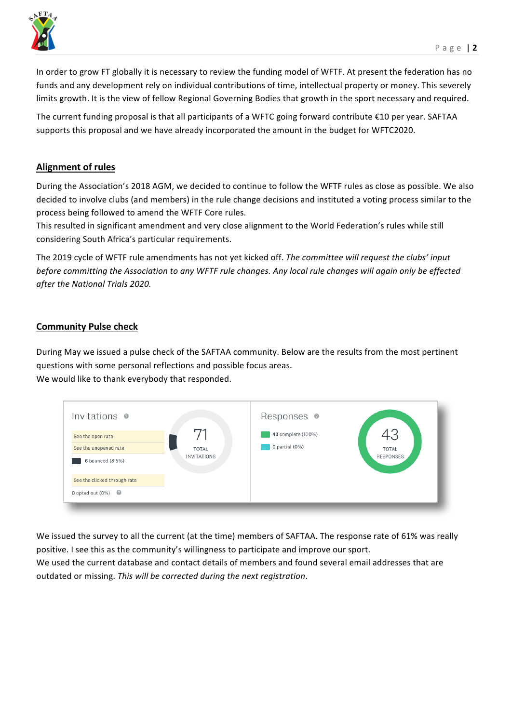

In order to grow FT globally it is necessary to review the funding model of WFTF. At present the federation has no funds and any development rely on individual contributions of time, intellectual property or money. This severely limits growth. It is the view of fellow Regional Governing Bodies that growth in the sport necessary and required.

The current funding proposal is that all participants of a WFTC going forward contribute  $\epsilon$ 10 per year. SAFTAA supports this proposal and we have already incorporated the amount in the budget for WFTC2020.

#### **Alignment of rules**

During the Association's 2018 AGM, we decided to continue to follow the WFTF rules as close as possible. We also decided to involve clubs (and members) in the rule change decisions and instituted a voting process similar to the process being followed to amend the WFTF Core rules.

This resulted in significant amendment and very close alignment to the World Federation's rules while still considering South Africa's particular requirements.

The 2019 cycle of WFTF rule amendments has not yet kicked off. The committee will request the clubs' input *before committing the Association to any WFTF rule changes. Any local rule changes will again only be effected after the National Trials 2020.*

#### **Community Pulse check**

During May we issued a pulse check of the SAFTAA community. Below are the results from the most pertinent questions with some personal reflections and possible focus areas. We would like to thank everybody that responded.

| Invitations @                                                  |                                    | Responses @                          |                                  |
|----------------------------------------------------------------|------------------------------------|--------------------------------------|----------------------------------|
| See the open rate<br>See the unopened rate<br>6 bounced (8.5%) | <b>TOTAL</b><br><b>INVITATIONS</b> | 43 complete (100%)<br>O partial (0%) | <b>TOTAL</b><br><b>RESPONSES</b> |
| See the clicked through rate<br>O opted out $(0%)$             |                                    |                                      |                                  |

We issued the survey to all the current (at the time) members of SAFTAA. The response rate of 61% was really positive. I see this as the community's willingness to participate and improve our sport.

We used the current database and contact details of members and found several email addresses that are outdated or missing. This will be corrected during the next registration.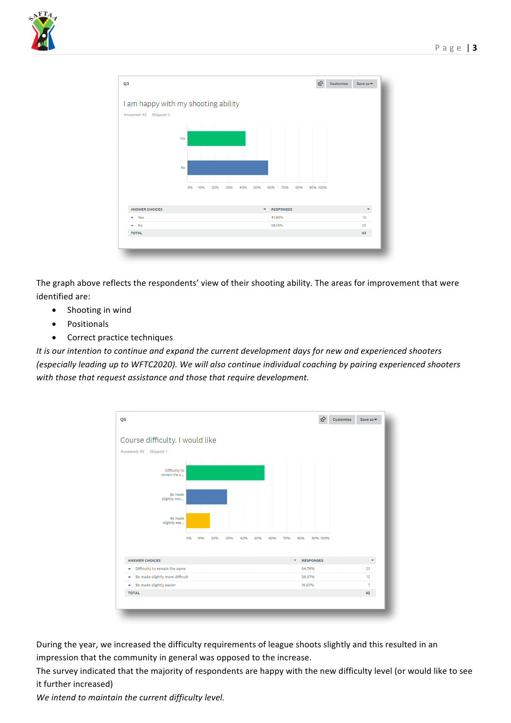



The graph above reflects the respondents' view of their shooting ability. The areas for improvement that were identified are:

- Shooting in wind
- Positionals
- Correct practice techniques

*It* is our intention to continue and expand the current development days for new and experienced shooters *(especially leading up to WFTC2020). We will also continue individual coaching by pairing experienced shooters* with those that request assistance and those that require development.



During the year, we increased the difficulty requirements of league shoots slightly and this resulted in an impression that the community in general was opposed to the increase.

The survey indicated that the majority of respondents are happy with the new difficulty level (or would like to see it further increased)

We intend to maintain the current difficulty level.